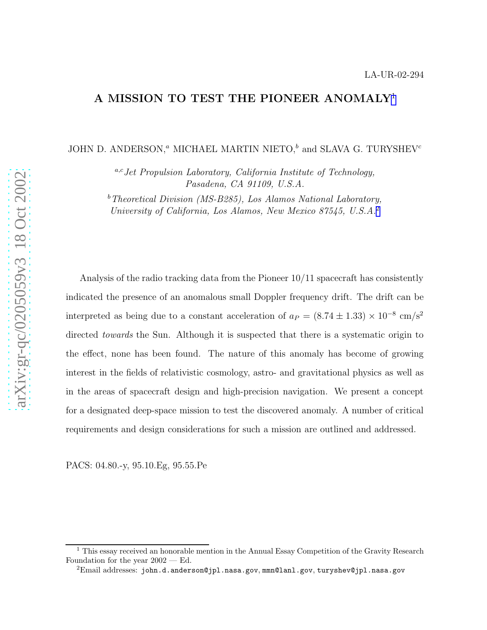### A MISSION TO TEST THE PIONEER ANOMALY<sup>1</sup>

JOHN D. ANDERSON,<sup> $a$ </sup> MICHAEL MARTIN NIETO, $^b$  and SLAVA G. TURYSHEV<sup>c</sup>

a,c Jet Propulsion Laboratory, California Institute of Technology, Pasadena, CA 91109, U.S.A.

 $b$  Theoretical Division (MS-B285), Los Alamos National Laboratory, University of California, Los Alamos, New Mexico 87545, U.S.A. 2

Analysis of the radio tracking data from the Pioneer  $10/11$  spacecraft has consistently indicated the presence of an anomalous small Doppler frequency drift. The drift can be interpreted as being due to a constant acceleration of  $a_P = (8.74 \pm 1.33) \times 10^{-8}$  cm/s<sup>2</sup> directed *towards* the Sun. Although it is suspected that there is a systematic origin to the effect, none has been found. The nature of this anomaly has become of growing interest in the fields of relativistic cosmology, astro- and gravitational physics as well as in the areas of spacecraft design and high-precision navigation. We present a concept for a designated deep-space mission to test the discovered anomaly. A number of critical requirements and design considerations for such a mission are outlined and addressed.

PACS: 04.80.-y, 95.10.Eg, 95.55.Pe

<sup>&</sup>lt;sup>1</sup> This essay received an honorable mention in the Annual Essay Competition of the Gravity Research Foundation for the year  $2002$  — Ed.<br><sup>2</sup>Email addresses: john.d.anderson@jpl.nasa.gov,mmn@lanl.gov, turyshev@jpl.nasa.gov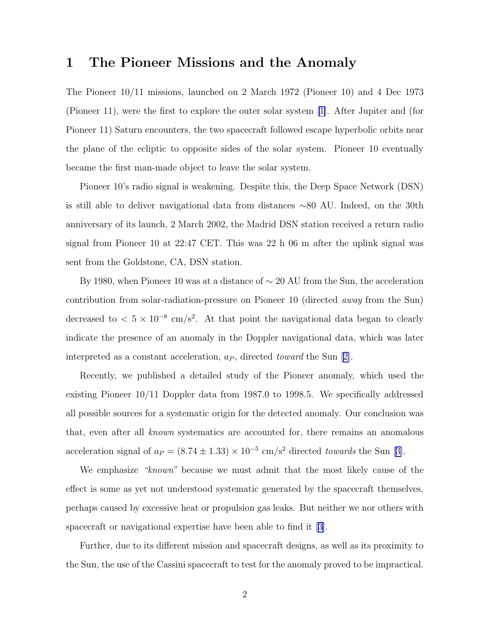### 1 The Pioneer Missions and the Anomaly

The Pioneer 10/11 missions, launched on 2 March 1972 (Pioneer 10) and 4 Dec 1973 (Pioneer 11), were the first to explore the outer solar system[[1\]](#page-7-0). After Jupiter and (for Pioneer 11) Saturn encounters, the two spacecraft followed escape hyperbolic orbits near the plane of the ecliptic to opposite sides of the solar system. Pioneer 10 eventually became the first man-made object to leave the solar system.

Pioneer 10's radio signal is weakening. Despite this, the Deep Space Network (DSN) is still able to deliver navigational data from distances ∼80 AU. Indeed, on the 30th anniversary of its launch, 2 March 2002, the Madrid DSN station received a return radio signal from Pioneer 10 at 22:47 CET. This was 22 h 06 m after the uplink signal was sent from the Goldstone, CA, DSN station.

By 1980, when Pioneer 10 was at a distance of  $\sim$  20 AU from the Sun, the acceleration contribution from solar-radiation-pressure on Pioneer 10 (directed away from the Sun) decreased to  $< 5 \times 10^{-8}$  cm/s<sup>2</sup>. At that point the navigational data began to clearly indicate the presence of an anomaly in the Doppler navigational data, which was later interpretedas a constant acceleration,  $a_P$ , directed *toward* the Sun [[2\]](#page-7-0).

Recently, we published a detailed study of the Pioneer anomaly, which used the existing Pioneer 10/11 Doppler data from 1987.0 to 1998.5. We specifically addressed all possible sources for a systematic origin for the detected anomaly. Our conclusion was that, even after all known systematics are accounted for, there remains an anomalous accelerationsignal of  $a_P = (8.74 \pm 1.33) \times 10^{-5}$  cm/s<sup>2</sup> directed *towards* the Sun [[3\]](#page-7-0).

We emphasize "known" because we must admit that the most likely cause of the effect is some as yet not understood systematic generated by the spacecraft themselves, perhaps caused by excessive heat or propulsion gas leaks. But neither we nor others with spacecraft or navigational expertise have been able to find it[[3\]](#page-7-0).

Further, due to its different mission and spacecraft designs, as well as its proximity to the Sun, the use of the Cassini spacecraft to test for the anomaly proved to be impractical.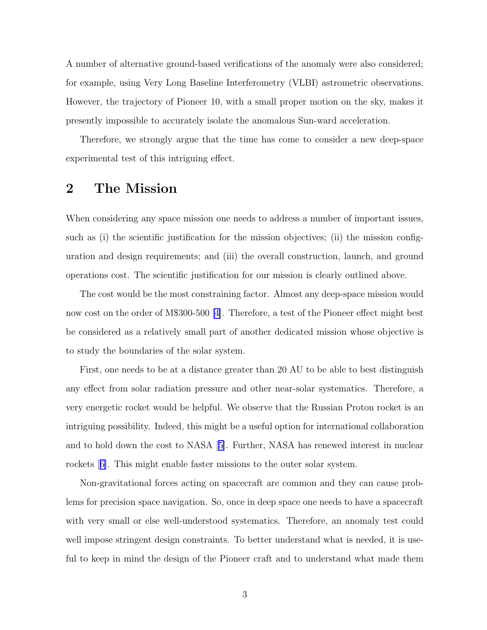A number of alternative ground-based verifications of the anomaly were also considered; for example, using Very Long Baseline Interferometry (VLBI) astrometric observations. However, the trajectory of Pioneer 10, with a small proper motion on the sky, makes it presently impossible to accurately isolate the anomalous Sun-ward acceleration.

Therefore, we strongly argue that the time has come to consider a new deep-space experimental test of this intriguing effect.

#### 2 The Mission

When considering any space mission one needs to address a number of important issues, such as (i) the scientific justification for the mission objectives; (ii) the mission configuration and design requirements; and (iii) the overall construction, launch, and ground operations cost. The scientific justification for our mission is clearly outlined above.

The cost would be the most constraining factor. Almost any deep-space mission would now cost on the order of M\$300-500 [\[4\]](#page-7-0). Therefore, a test of the Pioneer effect might best be considered as a relatively small part of another dedicated mission whose objective is to study the boundaries of the solar system.

First, one needs to be at a distance greater than 20 AU to be able to best distinguish any effect from solar radiation pressure and other near-solar systematics. Therefore, a very energetic rocket would be helpful. We observe that the Russian Proton rocket is an intriguing possibility. Indeed, this might be a useful option for international collaboration and to hold down the cost to NASA[[5\]](#page-8-0). Further, NASA has renewed interest in nuclear rockets[[6\]](#page-8-0). This might enable faster missions to the outer solar system.

Non-gravitational forces acting on spacecraft are common and they can cause problems for precision space navigation. So, once in deep space one needs to have a spacecraft with very small or else well-understood systematics. Therefore, an anomaly test could well impose stringent design constraints. To better understand what is needed, it is useful to keep in mind the design of the Pioneer craft and to understand what made them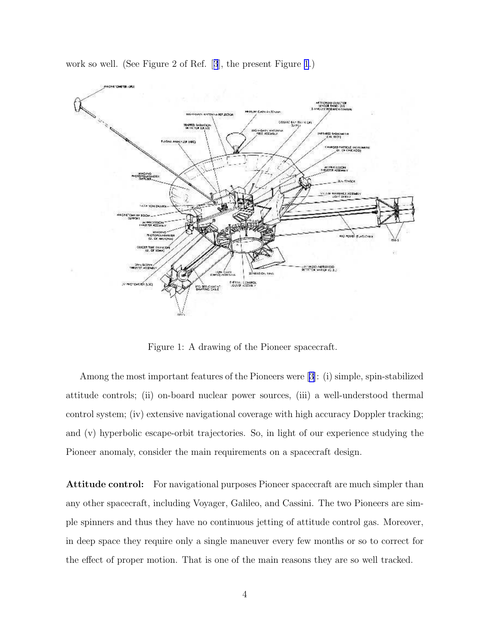

work so well. (See Figure 2 of Ref.[[3](#page-7-0)], the present Figure 1.)

Figure 1: A drawing of the Pioneer spacecraft.

Among the most important features of the Pioneers were [\[3\]](#page-7-0): (i) simple, spin-stabilized attitude controls; (ii) on-board nuclear power sources, (iii) a well-understood thermal control system; (iv) extensive navigational coverage with high accuracy Doppler tracking; and (v) hyperbolic escape-orbit trajectories. So, in light of our experience studying the Pioneer anomaly, consider the main requirements on a spacecraft design.

Attitude control: For navigational purposes Pioneer spacecraft are much simpler than any other spacecraft, including Voyager, Galileo, and Cassini. The two Pioneers are simple spinners and thus they have no continuous jetting of attitude control gas. Moreover, in deep space they require only a single maneuver every few months or so to correct for the effect of proper motion. That is one of the main reasons they are so well tracked.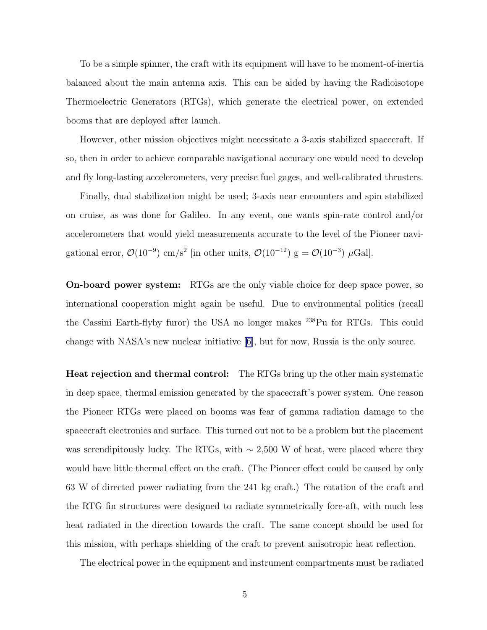To be a simple spinner, the craft with its equipment will have to be moment-of-inertia balanced about the main antenna axis. This can be aided by having the Radioisotope Thermoelectric Generators (RTGs), which generate the electrical power, on extended booms that are deployed after launch.

However, other mission objectives might necessitate a 3-axis stabilized spacecraft. If so, then in order to achieve comparable navigational accuracy one would need to develop and fly long-lasting accelerometers, very precise fuel gages, and well-calibrated thrusters.

Finally, dual stabilization might be used; 3-axis near encounters and spin stabilized on cruise, as was done for Galileo. In any event, one wants spin-rate control and/or accelerometers that would yield measurements accurate to the level of the Pioneer navigational error,  $\mathcal{O}(10^{-9})$  cm/s<sup>2</sup> [in other units,  $\mathcal{O}(10^{-12})$  g =  $\mathcal{O}(10^{-3})$   $\mu$ Gal].

**On-board power system:** RTGs are the only viable choice for deep space power, so international cooperation might again be useful. Due to environmental politics (recall the Cassini Earth-flyby furor) the USA no longer makes <sup>238</sup>Pu for RTGs. This could change with NASA's new nuclear initiative [\[6\]](#page-8-0), but for now, Russia is the only source.

Heat rejection and thermal control: The RTGs bring up the other main systematic in deep space, thermal emission generated by the spacecraft's power system. One reason the Pioneer RTGs were placed on booms was fear of gamma radiation damage to the spacecraft electronics and surface. This turned out not to be a problem but the placement was serendipitously lucky. The RTGs, with  $\sim 2,500$  W of heat, were placed where they would have little thermal effect on the craft. (The Pioneer effect could be caused by only 63 W of directed power radiating from the 241 kg craft.) The rotation of the craft and the RTG fin structures were designed to radiate symmetrically fore-aft, with much less heat radiated in the direction towards the craft. The same concept should be used for this mission, with perhaps shielding of the craft to prevent anisotropic heat reflection.

The electrical power in the equipment and instrument compartments must be radiated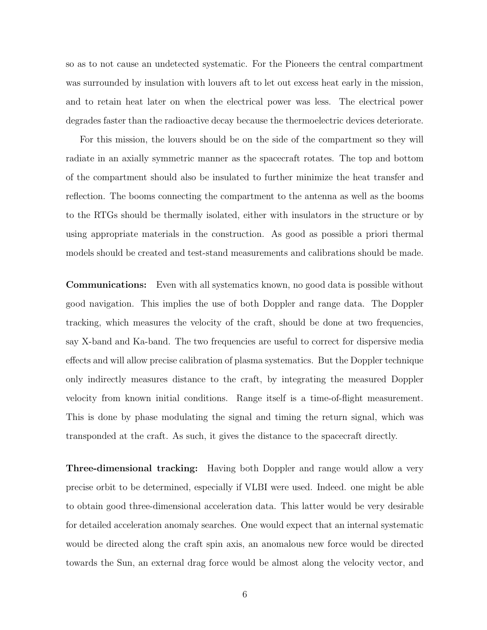so as to not cause an undetected systematic. For the Pioneers the central compartment was surrounded by insulation with louvers aft to let out excess heat early in the mission, and to retain heat later on when the electrical power was less. The electrical power degrades faster than the radioactive decay because the thermoelectric devices deteriorate.

For this mission, the louvers should be on the side of the compartment so they will radiate in an axially symmetric manner as the spacecraft rotates. The top and bottom of the compartment should also be insulated to further minimize the heat transfer and reflection. The booms connecting the compartment to the antenna as well as the booms to the RTGs should be thermally isolated, either with insulators in the structure or by using appropriate materials in the construction. As good as possible a priori thermal models should be created and test-stand measurements and calibrations should be made.

Communications: Even with all systematics known, no good data is possible without good navigation. This implies the use of both Doppler and range data. The Doppler tracking, which measures the velocity of the craft, should be done at two frequencies, say X-band and Ka-band. The two frequencies are useful to correct for dispersive media effects and will allow precise calibration of plasma systematics. But the Doppler technique only indirectly measures distance to the craft, by integrating the measured Doppler velocity from known initial conditions. Range itself is a time-of-flight measurement. This is done by phase modulating the signal and timing the return signal, which was transponded at the craft. As such, it gives the distance to the spacecraft directly.

Three-dimensional tracking: Having both Doppler and range would allow a very precise orbit to be determined, especially if VLBI were used. Indeed. one might be able to obtain good three-dimensional acceleration data. This latter would be very desirable for detailed acceleration anomaly searches. One would expect that an internal systematic would be directed along the craft spin axis, an anomalous new force would be directed towards the Sun, an external drag force would be almost along the velocity vector, and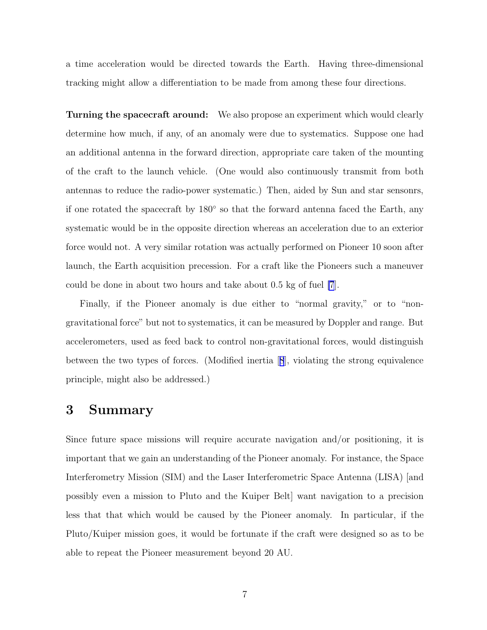a time acceleration would be directed towards the Earth. Having three-dimensional tracking might allow a differentiation to be made from among these four directions.

Turning the spacecraft around: We also propose an experiment which would clearly determine how much, if any, of an anomaly were due to systematics. Suppose one had an additional antenna in the forward direction, appropriate care taken of the mounting of the craft to the launch vehicle. (One would also continuously transmit from both antennas to reduce the radio-power systematic.) Then, aided by Sun and star sensonrs, if one rotated the spacecraft by 180◦ so that the forward antenna faced the Earth, any systematic would be in the opposite direction whereas an acceleration due to an exterior force would not. A very similar rotation was actually performed on Pioneer 10 soon after launch, the Earth acquisition precession. For a craft like the Pioneers such a maneuver could be done in about two hours and take about 0.5 kg of fuel [\[7](#page-8-0)].

Finally, if the Pioneer anomaly is due either to "normal gravity," or to "nongravitational force" but not to systematics, it can be measured by Doppler and range. But accelerometers, used as feed back to control non-gravitational forces, would distinguish between the two types of forces. (Modified inertia[[8](#page-8-0)], violating the strong equivalence principle, might also be addressed.)

## 3 Summary

Since future space missions will require accurate navigation and/or positioning, it is important that we gain an understanding of the Pioneer anomaly. For instance, the Space Interferometry Mission (SIM) and the Laser Interferometric Space Antenna (LISA) [and possibly even a mission to Pluto and the Kuiper Belt] want navigation to a precision less that that which would be caused by the Pioneer anomaly. In particular, if the Pluto/Kuiper mission goes, it would be fortunate if the craft were designed so as to be able to repeat the Pioneer measurement beyond 20 AU.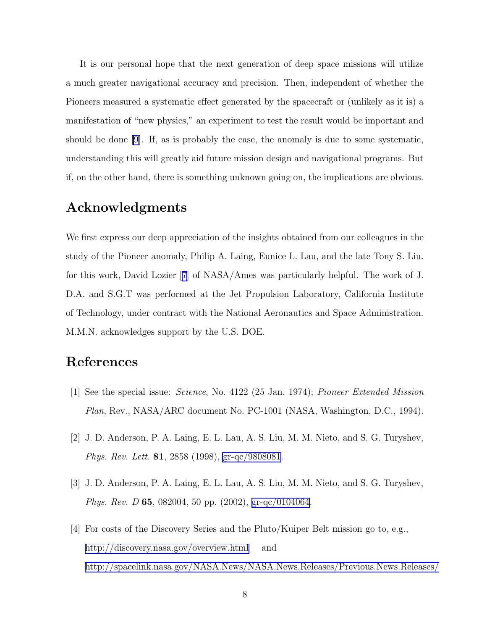<span id="page-7-0"></span>It is our personal hope that the next generation of deep space missions will utilize a much greater navigational accuracy and precision. Then, independent of whether the Pioneers measured a systematic effect generated by the spacecraft or (unlikely as it is) a manifestation of "new physics," an experiment to test the result would be important and should be done [\[9](#page-8-0)]. If, as is probably the case, the anomaly is due to some systematic, understanding this will greatly aid future mission design and navigational programs. But if, on the other hand, there is something unknown going on, the implications are obvious.

## Acknowledgments

We first express our deep appreciation of the insights obtained from our colleagues in the study of the Pioneer anomaly, Philip A. Laing, Eunice L. Lau, and the late Tony S. Liu. for this work, David Lozier [\[7\]](#page-8-0) of NASA/Ames was particularly helpful. The work of J. D.A. and S.G.T was performed at the Jet Propulsion Laboratory, California Institute of Technology, under contract with the National Aeronautics and Space Administration. M.M.N. acknowledges support by the U.S. DOE.

# References

- [1] See the special issue: Science, No. 4122 (25 Jan. 1974); Pioneer Extended Mission Plan, Rev., NASA/ARC document No. PC-1001 (NASA, Washington, D.C., 1994).
- [2] J. D. Anderson, P. A. Laing, E. L. Lau, A. S. Liu, M. M. Nieto, and S. G. Turyshev, Phys. Rev. Lett. 81, 2858 (1998), [gr-qc/9808081](http://arxiv.org/abs/gr-qc/9808081).
- [3] J. D. Anderson, P. A. Laing, E. L. Lau, A. S. Liu, M. M. Nieto, and S. G. Turyshev, Phys. Rev. D 65, 082004, 50 pp. (2002), [gr-qc/0104064](http://arxiv.org/abs/gr-qc/0104064).
- [4] For costs of the Discovery Series and the Pluto/Kuiper Belt mission go to, e.g., <http://discovery.nasa.gov/overview.html> and <http://spacelink.nasa.gov/NASA.News/NASA.News.Releases/Previous.News.Releases/>